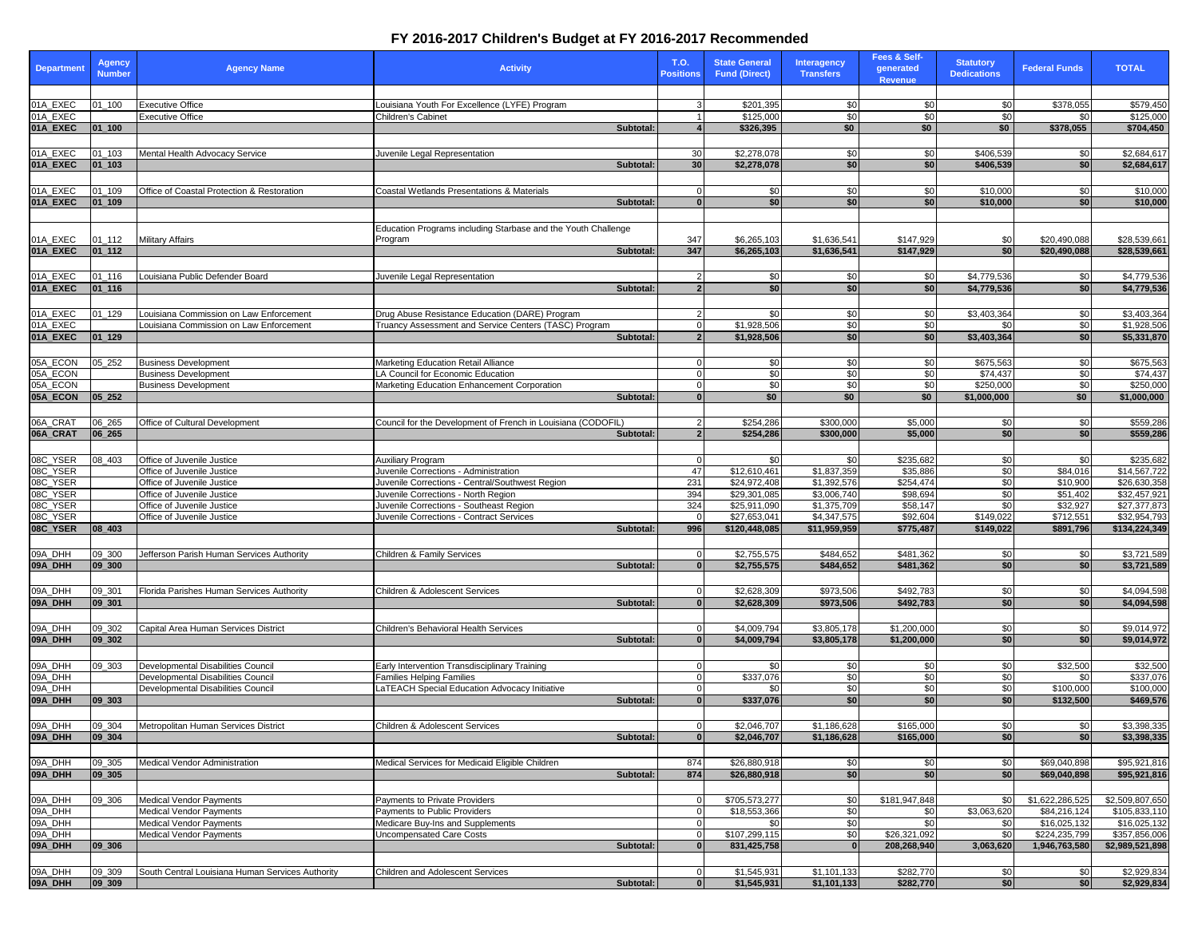## **FY 2016-2017 Children's Budget at FY 2016-2017 Recommended**

| <b>Department</b> | Agency<br><b>Number</b> | <b>Agency Name</b>                               | <b>Activity</b>                                               | T.O.<br><b>Positions</b> | <b>State General</b><br><b>Fund (Direct)</b> | <b>Interagency</b><br><b>Transfers</b> | Fees & Self-<br>generated<br>Revenue | <b>Statutory</b><br><b>Dedications</b> | <b>Federal Funds</b> | <b>TOTAL</b>    |
|-------------------|-------------------------|--------------------------------------------------|---------------------------------------------------------------|--------------------------|----------------------------------------------|----------------------------------------|--------------------------------------|----------------------------------------|----------------------|-----------------|
|                   |                         |                                                  |                                                               |                          |                                              |                                        |                                      |                                        |                      |                 |
| 01A_EXEC          | $01 - 100$              | <b>Executive Office</b>                          | Louisiana Youth For Excellence (LYFE) Program                 |                          | \$201,395                                    | \$0                                    | \$0                                  | \$0                                    | \$378,055            | \$579,450       |
| 01A EXEC          |                         | <b>Executive Office</b>                          | Children's Cabinet                                            |                          | \$125,000                                    | \$0                                    | \$0                                  | \$O                                    | \$0                  | \$125,000       |
| 01A_EXEC          | $01 - 100$              |                                                  | Subtotal:                                                     |                          | \$326,395                                    | \$0                                    | \$0                                  | \$0                                    | \$378,055            | \$704,450       |
|                   |                         |                                                  |                                                               |                          |                                              |                                        |                                      |                                        |                      |                 |
| 01A_EXEC          | 01 103                  | Mental Health Advocacy Service                   | Juvenile Legal Representation                                 | 30                       | \$2,278,078                                  | \$0                                    | \$0                                  | \$406,539                              | \$0                  | \$2,684,617     |
| 01A_EXEC          | $01 - 103$              |                                                  | Subtotal:                                                     | 30                       | \$2,278,078                                  | \$0                                    | \$0                                  | \$406,539                              | \$0                  | \$2,684,617     |
|                   |                         |                                                  |                                                               |                          |                                              |                                        |                                      |                                        |                      |                 |
| 01A_EXEC          | $01 - 109$              | Office of Coastal Protection & Restoration       | Coastal Wetlands Presentations & Materials                    | $\Omega$                 | \$0                                          | \$0                                    | \$0                                  | \$10,000                               | \$0                  | \$10,000        |
| 01A_EXEC          | $ 01_109$               |                                                  | Subtotal:                                                     | $\bf{0}$                 | \$0                                          | \$0                                    | \$0                                  | \$10,000                               | \$0                  | \$10,000        |
|                   |                         |                                                  |                                                               |                          |                                              |                                        |                                      |                                        |                      |                 |
|                   |                         |                                                  | Education Programs including Starbase and the Youth Challenge |                          |                                              |                                        |                                      |                                        |                      |                 |
| 01A_EXEC          | $01 - 112$              | <b>Military Affairs</b>                          | Program                                                       | 347                      | \$6,265,103                                  | \$1.636.541                            | \$147,929                            | \$0                                    | \$20,490,088         | \$28,539,661    |
| 01A_EXEC          | $01_112$                |                                                  | Subtotal:                                                     | 347                      | \$6,265,103                                  | \$1,636,541                            | \$147,929                            | \$0                                    | \$20,490,088         | \$28,539,661    |
|                   |                         |                                                  |                                                               |                          |                                              |                                        |                                      |                                        |                      |                 |
| 01A_EXEC          | $01 - 116$              | Louisiana Public Defender Board                  | Juvenile Legal Representation                                 | $\mathcal{P}$            | \$0                                          | \$0                                    | \$0                                  | \$4,779,536                            | \$0                  | \$4,779,536     |
| 01A_EXEC          | $01_116$                |                                                  | Subtotal:                                                     | $\overline{2}$           | \$0                                          | \$0                                    | \$0                                  | \$4,779,536                            | \$0                  | \$4,779,536     |
|                   |                         |                                                  |                                                               |                          |                                              |                                        |                                      |                                        |                      |                 |
| 01A_EXEC          | $01 - 129$              | Louisiana Commission on Law Enforcement          | Drug Abuse Resistance Education (DARE) Program                |                          | \$0                                          | \$0                                    | \$0                                  | \$3,403,364                            | \$0                  | \$3,403,364     |
| 01A EXEC          |                         | ouisiana Commission on Law Enforcement           | Truancy Assessment and Service Centers (TASC) Program         | $\Omega$                 | \$1,928,506                                  | \$0                                    | \$0                                  | \$0                                    | \$0                  | \$1,928,506     |
| 01A_EXEC          | $01_129$                |                                                  | Subtotal:                                                     |                          | \$1,928,506                                  | \$0                                    | \$0                                  | \$3,403,364                            | \$0                  | \$5,331,870     |
|                   |                         |                                                  |                                                               |                          |                                              |                                        |                                      |                                        |                      |                 |
| 05A_ECON          | 05 252                  | <b>Business Development</b>                      | Marketing Education Retail Alliance                           | $\Omega$                 | \$0                                          | \$0                                    | \$0                                  | \$675,563                              | \$0                  | \$675,563       |
| 05A_ECON          |                         | <b>Business Development</b>                      | LA Council for Economic Education                             | $\Omega$                 | \$0                                          | \$0                                    | \$0                                  | \$74,437                               | \$0                  | \$74,437        |
| 05A_ECON          |                         | <b>Business Development</b>                      | Marketing Education Enhancement Corporation                   | $\Omega$                 | \$0                                          | \$0                                    | \$0                                  | \$250,000                              | \$0                  | \$250,000       |
| 05A_ECON          | 05_252                  |                                                  | Subtotal:                                                     | 0                        | \$0                                          | \$0                                    | \$0                                  | \$1,000,000                            | \$0                  | \$1,000,000     |
|                   |                         |                                                  |                                                               |                          |                                              |                                        |                                      |                                        |                      |                 |
| 06A_CRAT          | 06_265                  | Office of Cultural Development                   | Council for the Development of French in Louisiana (CODOFIL)  |                          | \$254,286                                    | \$300,000                              | \$5,000                              | \$0                                    | \$0                  | \$559,286       |
| 06A_CRAT          | 06_265                  |                                                  | Subtotal:                                                     | $\overline{2}$           | \$254,286                                    | \$300,000                              | \$5,000                              | \$0                                    | \$0                  | \$559,286       |
|                   |                         |                                                  |                                                               |                          |                                              |                                        |                                      |                                        |                      |                 |
| 08C_YSER          | 08 403                  | Office of Juvenile Justice                       | Auxiliary Program                                             |                          | \$0                                          | \$0                                    | \$235,682                            | \$0                                    | \$0                  | \$235,682       |
| 08C_YSER          |                         | Office of Juvenile Justice                       | Juvenile Corrections - Administration                         | 47                       | \$12,610,461                                 | \$1,837,359                            | \$35,886                             | \$0                                    | \$84,016             | \$14,567,722    |
| 08C_YSER          |                         | Office of Juvenile Justice                       | Juvenile Corrections - Central/Southwest Region               | 231                      | \$24,972,408                                 | \$1,392,576                            | \$254,474                            | \$0                                    | \$10,900             | \$26,630,358    |
| 08C_YSER          |                         | Office of Juvenile Justice                       | Juvenile Corrections - North Region                           | 394                      | \$29,301,085                                 | \$3,006,740                            | \$98,694                             | \$0                                    | \$51,402             | \$32,457,921    |
| 08C_YSER          |                         | Office of Juvenile Justice                       | Juvenile Corrections - Southeast Region                       | 324                      | \$25,911,090                                 | \$1,375,709                            | \$58,147                             | \$0                                    | \$32,927             | \$27,377,873    |
| 08C_YSER          |                         | Office of Juvenile Justice                       | Juvenile Corrections - Contract Services                      | $\Omega$                 | \$27,653,041                                 | \$4,347,575                            | \$92,604                             | \$149,022                              | \$712,551            | \$32,954,793    |
| 08C_YSER          | 08_403                  |                                                  | Subtotal:                                                     | 996                      | \$120,448,085                                | \$11,959,959                           | \$775,487                            | \$149,022                              | \$891,796            | \$134,224,349   |
|                   |                         |                                                  |                                                               |                          |                                              |                                        |                                      |                                        |                      |                 |
| 09A_DHH           | 09_300                  | Jefferson Parish Human Services Authority        | <b>Children &amp; Family Services</b>                         |                          | \$2,755,575                                  | \$484,652                              | \$481,362                            | \$0                                    | \$0                  | \$3,721,589     |
| 09A_DHH           | 09_300                  |                                                  | Subtotal:                                                     | $\mathbf{0}$             | \$2,755,575                                  | \$484,652                              | \$481,362                            | \$0                                    | \$0                  | \$3,721,589     |
|                   |                         |                                                  |                                                               |                          |                                              |                                        |                                      |                                        |                      |                 |
| 09A DHH           | 09_301                  | Florida Parishes Human Services Authority        | Children & Adolescent Services                                | $\Omega$                 | \$2,628,309                                  | \$973,506                              | \$492,783                            | \$0                                    | \$0                  | \$4,094,598     |
| 09A_DHH           | 09 301                  |                                                  | Subtotal:                                                     | $\overline{0}$           | \$2,628,309                                  | \$973,506                              | \$492,783                            | \$0                                    | \$0                  | \$4,094,598     |
|                   |                         |                                                  |                                                               |                          |                                              |                                        |                                      |                                        |                      |                 |
| 09A_DHH           | 09_302                  | Capital Area Human Services District             | Children's Behavioral Health Services                         |                          | \$4,009,794                                  | \$3,805,178                            | \$1,200,000                          | \$0                                    | \$0                  | \$9,014,972     |
| 09A_DHH           | 09_302                  |                                                  | Subtotal:                                                     | $\bf{0}$                 | \$4,009,794                                  | \$3,805,178                            | \$1,200,000                          | \$0                                    | \$0                  | \$9,014,972     |
|                   |                         |                                                  |                                                               |                          |                                              |                                        |                                      |                                        |                      |                 |
| 09A_DHH           | 09 303                  | Developmental Disabilities Council               | Early Intervention Transdisciplinary Training                 | 0                        | \$0                                          | \$0                                    | \$0                                  | \$0                                    | \$32,500             | \$32,500        |
| 09A DHH           |                         | Developmental Disabilities Council               | Families Helping Families                                     |                          | \$337,076                                    | \$0                                    | \$0                                  | \$0                                    | \$0                  | \$337,076       |
| 09A DHH           |                         | Developmental Disabilities Council               | LaTEACH Special Education Advocacy Initiative                 | $\Omega$                 | \$0                                          | \$0                                    | \$0                                  | \$0                                    | \$100,000            | \$100,000       |
| 09A_DHH           | 09_303                  |                                                  | Subtotal:                                                     |                          | \$337,076                                    | \$0                                    | \$0                                  | \$0                                    | \$132,500            | \$469,576       |
|                   |                         |                                                  |                                                               |                          |                                              |                                        |                                      |                                        |                      |                 |
| 09A_DHH           | 09_304                  | Metropolitan Human Services District             | Children & Adolescent Services                                | $\Omega$                 | \$2,046,707                                  | \$1,186,628                            | \$165,000                            | \$0                                    | \$0                  | \$3,398,335     |
| 09A_DHH           | 09_304                  |                                                  | Subtotal:                                                     | $\bf{0}$                 | \$2,046,707                                  | \$1,186,628                            | \$165,000                            | \$0 <sub>1</sub>                       | \$0                  | \$3,398,335     |
|                   |                         |                                                  |                                                               |                          |                                              |                                        |                                      |                                        |                      |                 |
| 09A_DHH           | 09_305                  | Medical Vendor Administration                    | Medical Services for Medicaid Eligible Children               | 874                      | \$26,880,918                                 | \$0                                    | \$0                                  | \$0                                    | \$69,040,898         | \$95.921.816    |
| 09A_DHH           | 09 305                  |                                                  | Subtotal:                                                     | 874                      | \$26,880,918                                 | \$0                                    | \$0                                  | \$0                                    | \$69.040.898         | \$95,921,816    |
|                   |                         |                                                  |                                                               |                          |                                              |                                        |                                      |                                        |                      |                 |
| 09A_DHH           | 09_306                  | <b>Medical Vendor Payments</b>                   | Payments to Private Providers                                 | 0                        | \$705,573,277                                | \$0                                    | \$181,947,848                        | \$0                                    | \$1,622,286,525      | \$2,509,807,650 |
| 09A_DHH           |                         | <b>Medical Vendor Payments</b>                   | Payments to Public Providers                                  | $\overline{0}$           | \$18,553,366                                 | \$0                                    | \$0                                  | \$3,063,620                            | \$84,216,124         | \$105,833,110   |
| 09A_DHH           |                         | Medical Vendor Payments                          | Medicare Buy-Ins and Supplements                              | $\Omega$                 | \$0                                          | \$0                                    | \$0                                  | \$0                                    | \$16,025,132         | \$16,025,132    |
| 09A_DHH           |                         | Medical Vendor Payments                          | Uncompensated Care Costs                                      | $\mathbf{0}$             | \$107,299,115                                | \$0                                    | \$26,321,092                         | \$0                                    | \$224,235,799        | \$357,856,006   |
| 09A_DHH           | 09_306                  |                                                  | Subtotal:                                                     | 0                        | 831,425,758                                  | $\overline{\mathbf{0}}$                | 208,268,940                          | 3,063,620                              | 1,946,763,580        | \$2,989,521,898 |
|                   |                         |                                                  |                                                               |                          |                                              |                                        |                                      |                                        |                      |                 |
| 09A_DHH           | 09_309                  | South Central Louisiana Human Services Authority | Children and Adolescent Services                              | 0                        | \$1,545,931                                  | \$1,101,133                            | \$282,770                            | \$0                                    | \$0                  | \$2,929,834     |
| 09A_DHH           | 09 309                  |                                                  | Subtotal:                                                     | 0                        | \$1,545,931                                  | \$1.101.133                            | \$282,770                            | \$0                                    | \$0                  | \$2,929,834     |
|                   |                         |                                                  |                                                               |                          |                                              |                                        |                                      |                                        |                      |                 |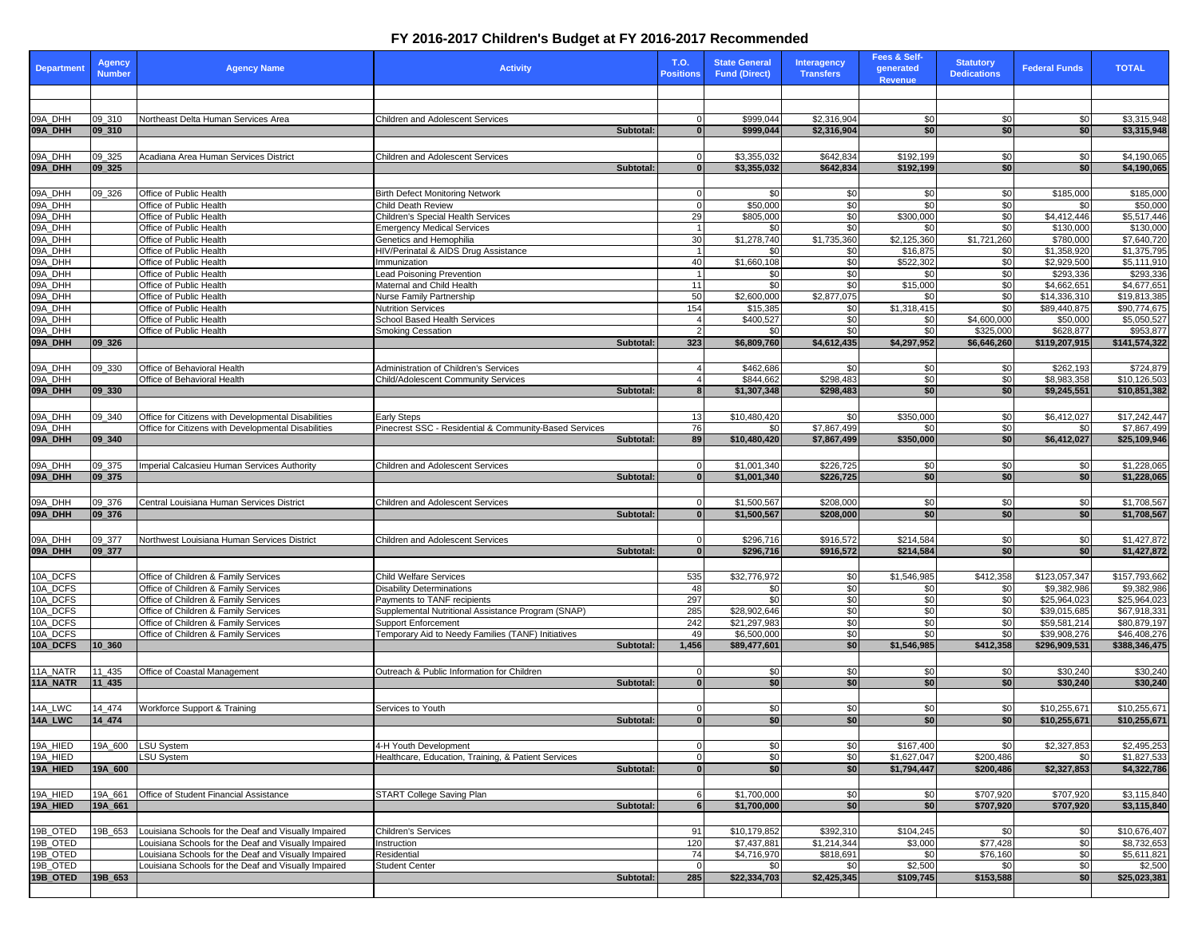## **FY 2016-2017 Children's Budget at FY 2016-2017 Recommended**

| <b>Department</b>    | Agency<br><b>Number</b> | <b>Agency Name</b>                                                           | <b>Activity</b>                                                           |           | T.O.<br><b>Positions</b>    | <b>State General</b><br><b>Fund (Direct)</b> | <b>Interagency</b><br><b>Transfers</b> | Fees & Self-<br>generated<br><b>Revenue</b> | <b>Statutory</b><br><b>Dedications</b> | <b>Federal Funds</b>         | <b>TOTAL</b>                 |
|----------------------|-------------------------|------------------------------------------------------------------------------|---------------------------------------------------------------------------|-----------|-----------------------------|----------------------------------------------|----------------------------------------|---------------------------------------------|----------------------------------------|------------------------------|------------------------------|
|                      |                         |                                                                              |                                                                           |           |                             |                                              |                                        |                                             |                                        |                              |                              |
|                      |                         |                                                                              |                                                                           |           |                             |                                              |                                        |                                             |                                        |                              |                              |
| 09A_DHH              | 09_310                  | Northeast Delta Human Services Area                                          | <b>Children and Adolescent Services</b>                                   |           | 0                           | \$999,044                                    | \$2,316,904                            | \$0                                         | \$0                                    | \$0                          | \$3,315,948                  |
| 09A_DHH              | 09_310                  |                                                                              |                                                                           | Subtotal: | $\bf{0}$                    | \$999,044                                    | \$2,316,904                            | \$0                                         | \$0                                    | \$0                          | \$3,315,948                  |
|                      |                         |                                                                              |                                                                           |           |                             |                                              |                                        |                                             |                                        |                              |                              |
| 09A_DHH              | 09 325                  | Acadiana Area Human Services District                                        | <b>Children and Adolescent Services</b>                                   |           | $\mathbf 0$                 | \$3,355,032                                  | \$642,834                              | \$192,199                                   | \$0                                    | \$0                          | \$4,190,065                  |
| 09A_DHH              | 09 325                  |                                                                              |                                                                           | Subtotal: | $\mathbf{0}$                | \$3,355,032                                  | \$642,834                              | \$192,199                                   | \$0                                    | \$0                          | \$4,190,065                  |
|                      |                         |                                                                              |                                                                           |           |                             |                                              |                                        |                                             |                                        |                              |                              |
| 09A_DHH<br>09A_DHH   | 09_326                  | Office of Public Health<br>Office of Public Health                           | <b>Birth Defect Monitoring Network</b><br>Child Death Review              |           | $\mathbf 0$<br>$\mathbf{0}$ | \$0<br>\$50,000                              | \$0<br>\$0                             | \$0<br>\$0                                  | \$0<br>\$0                             | \$185,000<br>\$0             | \$185,000<br>\$50,000        |
| 09A_DHH              |                         | Office of Public Health                                                      | Children's Special Health Services                                        |           | 29                          | \$805,000                                    | \$0                                    | \$300,000                                   | \$0                                    | \$4,412,446                  | \$5,517,446                  |
| 09A_DHH              |                         | Office of Public Health                                                      | <b>Emergency Medical Services</b>                                         |           | $\mathbf{1}$                | \$0                                          | \$0                                    | \$0                                         | \$0                                    | \$130,000                    | \$130,000                    |
| 09A_DHH              |                         | Office of Public Health                                                      | Genetics and Hemophilia                                                   |           | 30                          | \$1,278,740                                  | \$1,735,360                            | \$2,125,360                                 | \$1,721,260                            | \$780,000                    | \$7,640,720                  |
| 09A_DHH              |                         | Office of Public Health                                                      | HIV/Perinatal & AIDS Drug Assistance                                      |           | $\mathbf{1}$                | \$0                                          | \$0                                    | \$16,875                                    | \$0                                    | \$1,358,920                  | \$1,375,795                  |
| 09A_DHH              |                         | Office of Public Health                                                      | Immunization                                                              |           | 40                          | \$1,660,108                                  | \$0                                    | \$522,302                                   | \$0                                    | \$2,929.500                  | \$5,111,910                  |
| 09A_DHH<br>09A_DHH   |                         | Office of Public Health                                                      | <b>Lead Poisoning Prevention</b><br>Maternal and Child Health             |           | 1<br>11                     | \$0<br>\$0                                   | \$0<br>\$0                             | \$0<br>\$15,000                             | \$0<br>\$0                             | \$293,336<br>\$4,662,651     | \$293,336<br>\$4,677,651     |
| 09A_DHH              |                         | Office of Public Health<br>Office of Public Health                           | Nurse Family Partnership                                                  |           | 50                          | \$2,600,000                                  | \$2,877,075                            | \$0                                         | \$0                                    | \$14,336,310                 | \$19,813,385                 |
| 09A_DHH              |                         | Office of Public Health                                                      | Nutrition Services                                                        |           | 154                         | \$15,385                                     | \$0                                    | \$1,318,415                                 | \$0                                    | \$89,440,875                 | \$90,774,675                 |
| 09A_DHH              |                         | Office of Public Health                                                      | School Based Health Services                                              |           | $\overline{4}$              | \$400,527                                    | \$0                                    | \$0                                         | \$4,600,000                            | \$50,000                     | \$5,050,527                  |
| 09A DHH              |                         | Office of Public Health                                                      | <b>Smoking Cessation</b>                                                  |           | $\overline{2}$              | \$0                                          | \$0                                    | \$0                                         | \$325,000                              | \$628,877                    | \$953,877                    |
| 09A_DHH              | 09 326                  |                                                                              |                                                                           | Subtotal: | 323                         | \$6,809,760                                  | \$4,612,435                            | \$4,297,952                                 | \$6,646,260                            | \$119,207,915                | \$141,574,322                |
|                      |                         |                                                                              |                                                                           |           |                             |                                              |                                        |                                             |                                        |                              |                              |
| 09A_DHH              | 09 330                  | Office of Behavioral Health<br>Office of Behavioral Health                   | Administration of Children's Services                                     |           | $\overline{4}$              | \$462,686                                    | \$0                                    | \$0                                         | \$0                                    | \$262,193                    | \$724,879                    |
| 09A_DHH<br>09A_DHH   | 09 330                  |                                                                              | Child/Adolescent Community Services                                       | Subtotal: | $\overline{4}$<br>8         | \$844,662<br>\$1,307,348                     | \$298,483<br>\$298,483                 | \$0<br>\$0                                  | \$0<br>\$0                             | \$8,983,358<br>\$9.245.551   | \$10,126,503<br>\$10,851,382 |
|                      |                         |                                                                              |                                                                           |           |                             |                                              |                                        |                                             |                                        |                              |                              |
| 09A_DHH              | 09 340                  | Office for Citizens with Developmental Disabilities                          | Early Steps                                                               |           | 13                          | \$10,480,420                                 | \$0                                    | \$350,000                                   | \$0                                    | \$6,412,027                  | \$17,242,447                 |
| 09A_DHH              |                         | Office for Citizens with Developmental Disabilities                          | Pinecrest SSC - Residential & Community-Based Services                    |           | 76                          | \$0                                          | \$7,867,499                            | \$0                                         | \$0                                    | \$0                          | \$7,867,499                  |
| 09A_DHH              | 09_340                  |                                                                              |                                                                           | Subtotal: | 89                          | \$10,480,420                                 | \$7,867,499                            | \$350,000                                   | \$0                                    | \$6,412,027                  | \$25,109,946                 |
|                      |                         |                                                                              |                                                                           |           |                             |                                              |                                        |                                             |                                        |                              |                              |
| 09A_DHH              | 09_375                  | Imperial Calcasieu Human Services Authority                                  | Children and Adolescent Services                                          |           | $\mathbf 0$                 | \$1,001,340                                  | \$226,725                              | \$0                                         | \$0                                    | \$0                          | \$1,228,065                  |
| 09A_DHH              | 09 375                  |                                                                              |                                                                           | Subtotal: | $\mathbf{0}$                | \$1,001,340                                  | \$226,725                              | \$0                                         | \$0                                    | \$0                          | \$1,228,065                  |
|                      |                         |                                                                              |                                                                           |           |                             |                                              |                                        |                                             |                                        |                              |                              |
| 09A_DHH              | 09_376                  | Central Louisiana Human Services District                                    | Children and Adolescent Services                                          |           | $\mathbf 0$                 | \$1,500,567                                  | \$208,000                              | \$0                                         | \$0                                    | \$0                          | \$1,708,567                  |
| 09A_DHH              | 09_376                  |                                                                              |                                                                           | Subtotal: | $\mathbf{0}$                | \$1,500,567                                  | \$208,000                              | \$0                                         | \$0                                    | \$0                          | \$1,708,567                  |
| 09A_DHH              | 09_377                  | Northwest Louisiana Human Services District                                  | Children and Adolescent Services                                          |           | $\mathbf 0$                 | \$296,716                                    | \$916,572                              | \$214,584                                   | \$0                                    | \$0                          | \$1,427,872                  |
| 09A_DHH              | 09_377                  |                                                                              |                                                                           | Subtotal: | $\mathbf{0}$                | \$296,716                                    | \$916,572                              | \$214,584                                   | \$0                                    | \$0                          | \$1,427,872                  |
|                      |                         |                                                                              |                                                                           |           |                             |                                              |                                        |                                             |                                        |                              |                              |
| 10A_DCFS             |                         | Office of Children & Family Services                                         | <b>Child Welfare Services</b>                                             |           | 535                         | \$32,776,972                                 | \$0                                    | \$1,546,985                                 | \$412,358                              | \$123,057,347                | \$157,793,662                |
| 10A DCFS             |                         | Office of Children & Family Services                                         | <b>Disability Determinations</b>                                          |           | 48                          | \$0                                          | \$0                                    | \$0                                         | \$0                                    | \$9,382,986                  | \$9,382,986                  |
| 10A_DCFS             |                         | Office of Children & Family Services                                         | Payments to TANF recipients                                               |           | 297                         | \$0                                          | \$0                                    | \$0                                         | \$0                                    | \$25,964,023                 | \$25,964,023                 |
| 10A_DCFS             |                         | Office of Children & Family Services                                         | Supplemental Nutritional Assistance Program (SNAP)                        |           | 285                         | \$28,902,646                                 | \$0                                    | \$0                                         | \$0                                    | \$39,015,685                 | \$67,918,331                 |
| 10A_DCFS<br>10A DCFS |                         | Office of Children & Family Services<br>Office of Children & Family Services | Support Enforcement<br>Temporary Aid to Needy Families (TANF) Initiatives |           | 242<br>49                   | \$21,297,983<br>\$6,500,000                  | \$0<br>\$0                             | \$0<br>\$0                                  | \$0<br>\$0                             | \$59,581,214<br>\$39,908,276 | \$80,879,197<br>\$46,408,276 |
| 10A_DCFS             | 10 360                  |                                                                              |                                                                           | Subtotal: | 1,456                       | \$89,477,601                                 | \$0                                    | \$1,546,985                                 | \$412,358                              | \$296,909,531                | \$388,346,475                |
|                      |                         |                                                                              |                                                                           |           |                             |                                              |                                        |                                             |                                        |                              |                              |
| 11A NATR             | 11_435                  | Office of Coastal Management                                                 | Outreach & Public Information for Children                                |           | $\Omega$                    | \$0                                          | \$0                                    | \$0                                         | \$0                                    | \$30,240                     | \$30,240                     |
| 11A NATR             | 11_435                  |                                                                              |                                                                           | Subtotal: | $\mathbf{0}$                | \$0                                          | \$0                                    | \$0                                         | \$0                                    | \$30,240                     | \$30,240                     |
|                      |                         |                                                                              |                                                                           |           |                             |                                              |                                        |                                             |                                        |                              |                              |
| 14A_LWC              | 14 474                  | Workforce Support & Training                                                 | Services to Youth                                                         |           | $\Omega$                    | \$0                                          | \$0                                    | \$0                                         | \$0                                    | \$10,255,671                 | \$10,255,671                 |
| 14A_LWC              | 14_474                  |                                                                              |                                                                           | Subtotal: | $\mathbf{0}$                | \$0                                          | \$0                                    | \$0                                         | \$0                                    | \$10,255,671                 | \$10,255,671                 |
|                      |                         |                                                                              |                                                                           |           |                             |                                              |                                        |                                             |                                        |                              |                              |
| 19A_HIED             | 19A_600                 | SU System                                                                    | 4-H Youth Development                                                     |           |                             | \$0                                          | \$0                                    | \$167,400                                   | \$0                                    | \$2,327,853                  | \$2,495,253                  |
| 19A_HIED             | 19A_600                 | SU System                                                                    | Healthcare, Education, Training, & Patient Services                       | Subtotal: | $\mathbf 0$<br>$\bf{0}$     | \$O<br>\$0                                   | \$0                                    | \$1,627,047<br>\$1,794,447                  | \$200,486                              | \$0                          | \$1,827,533                  |
| 19A_HIED             |                         |                                                                              |                                                                           |           |                             |                                              | \$0                                    |                                             | \$200,486                              | \$2,327,853                  | \$4,322,786                  |
| 19A_HIED             | 19A_661                 | Office of Student Financial Assistance                                       | START College Saving Plan                                                 |           | 6                           | \$1,700,000                                  | \$0                                    | \$0                                         | \$707,920                              | \$707,920                    | \$3,115,840                  |
| 19A_HIED             | 19A_661                 |                                                                              |                                                                           | Subtotal: | 6                           | \$1,700,000                                  | \$0                                    | \$0                                         | \$707,920                              | \$707,920                    | \$3,115,840                  |
|                      |                         |                                                                              |                                                                           |           |                             |                                              |                                        |                                             |                                        |                              |                              |
| 19B_OTED             | 19B 653                 | Louisiana Schools for the Deaf and Visually Impaired                         | Children's Services                                                       |           | 91                          | \$10.179.852                                 | \$392,310                              | \$104,245                                   | \$0                                    | \$0                          | \$10,676,407                 |
| 19B_OTED             |                         | Louisiana Schools for the Deaf and Visually Impaired                         | Instruction                                                               |           | 120                         | \$7,437,881                                  | \$1,214,344                            | \$3,000                                     | \$77,428                               | \$0                          | \$8,732,653                  |
| 19B_OTED             |                         | ouisiana Schools for the Deaf and Visually Impaired                          | Residential                                                               |           | 74                          | \$4,716,970                                  | \$818,691                              | \$0                                         | \$76,160                               | \$0                          | \$5,611,821                  |
| 19B_OTED             |                         | Louisiana Schools for the Deaf and Visually Impaired                         | Student Center                                                            |           | $\Omega$                    | \$0                                          | \$0                                    | \$2,500                                     | \$0                                    | \$0                          | \$2,500                      |
| 19B_OTED             | 19B_653                 |                                                                              |                                                                           | Subtotal: | 285                         | \$22,334,703                                 | \$2,425,345                            | \$109,745                                   | \$153,588                              | \$0                          | \$25,023,381                 |
|                      |                         |                                                                              |                                                                           |           |                             |                                              |                                        |                                             |                                        |                              |                              |